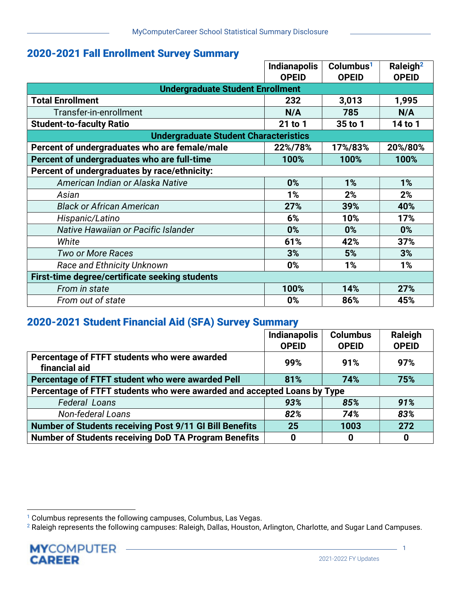## 2020-2021 Fall Enrollment Survey Summary

|                                                | <b>Indianapolis</b><br>Columbus <sup>1</sup> |              | Raleigh <sup>2</sup> |  |  |
|------------------------------------------------|----------------------------------------------|--------------|----------------------|--|--|
|                                                | <b>OPEID</b>                                 | <b>OPEID</b> | <b>OPEID</b>         |  |  |
| <b>Undergraduate Student Enrollment</b>        |                                              |              |                      |  |  |
| <b>Total Enrollment</b>                        | 232                                          | 3,013        | 1,995                |  |  |
| Transfer-in-enrollment                         | N/A<br>785                                   |              | N/A                  |  |  |
| <b>Student-to-faculty Ratio</b>                | 21 to 1                                      | 35 to 1      | 14 to 1              |  |  |
| <b>Undergraduate Student Characteristics</b>   |                                              |              |                      |  |  |
| Percent of undergraduates who are female/male  | 22%/78%<br>17%/83%                           |              | 20%/80%              |  |  |
| Percent of undergraduates who are full-time    | 100%                                         | 100%         | 100%                 |  |  |
| Percent of undergraduates by race/ethnicity:   |                                              |              |                      |  |  |
| American Indian or Alaska Native               | 0%                                           | 1%           | 1%                   |  |  |
| Asian                                          | 1%                                           | 2%           | 2%                   |  |  |
| <b>Black or African American</b>               | 27%<br>39%                                   |              | 40%                  |  |  |
| Hispanic/Latino                                | 6%<br>10%                                    |              | 17%                  |  |  |
| Native Hawaiian or Pacific Islander            | 0%                                           | $0\%$        | 0%                   |  |  |
| White                                          | 61%                                          | 42%          | 37%                  |  |  |
| <b>Two or More Races</b>                       | 3%                                           | 5%           | 3%                   |  |  |
| <b>Race and Ethnicity Unknown</b>              | 0%                                           | 1%           | 1%                   |  |  |
| First-time degree/certificate seeking students |                                              |              |                      |  |  |
| From in state                                  | 100%                                         | 14%          | 27%                  |  |  |
| From out of state                              | 0%                                           | 86%          | 45%                  |  |  |

## 2020-2021 Student Financial Aid (SFA) Survey Summary

|                                                                         | <b>Indianapolis</b><br><b>Columbus</b> |              | Raleigh      |  |  |
|-------------------------------------------------------------------------|----------------------------------------|--------------|--------------|--|--|
|                                                                         | <b>OPEID</b>                           | <b>OPEID</b> | <b>OPEID</b> |  |  |
| Percentage of FTFT students who were awarded<br>financial aid           | 99%                                    | 91%          | 97%          |  |  |
| Percentage of FTFT student who were awarded Pell                        | 81%                                    | 74%          | 75%          |  |  |
| Percentage of FTFT students who were awarded and accepted Loans by Type |                                        |              |              |  |  |
| <b>Federal Loans</b>                                                    | 93%                                    | 85%          | 91%          |  |  |
| <b>Non-federal Loans</b>                                                | 82%                                    | 74%          | 83%          |  |  |
| <b>Number of Students receiving Post 9/11 GI Bill Benefits</b>          | 25                                     | 1003         | 272          |  |  |
| <b>Number of Students receiving DoD TA Program Benefits</b>             | 0                                      | 0            | 0            |  |  |

<sup>&</sup>lt;sup>1</sup> Columbus represents the following campuses, Columbus, Las Vegas.

 $^2$  Raleigh represents the following campuses: Raleigh, Dallas, Houston, Arlington, Charlotte, and Sugar Land Campuses.